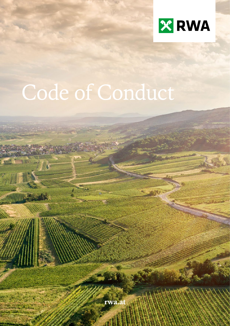

# Code of Conduct

rwa.a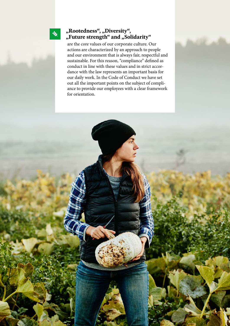## **"Rootedness", "Diversity", "Future strength" and "Solidarity"**

 $\frac{1}{2}$ 

are the core values of our corporate culture. Our actions are characterized by an approach to people and our environment that is always fair, respectful and sustainable. For this reason, "compliance" defined as conduct in line with these values and in strict accordance with the law represents an important basis for our daily work. In the Code of Conduct we have set out all the important points on the subject of compliance to provide our employees with a clear framework for orientation.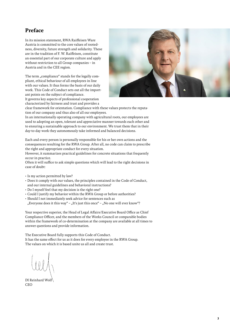## **Preface**

In its mission statement, RWA Raiffeisen Ware Austria is committed to the core values of rootedness, diversity, future strength and solidarity. These are in the tradition of F. W. Raiffeisen, constitute an essential part of our corporate culture and apply without restriction to all Group companies – in Austria and in the CEE region.

The term "compliance" stands for the legally compliant, ethical behaviour of all employees in line with our values. It thus forms the basis of our daily work. This Code of Conduct sets out all the important points on the subject of compliance.





clear framework for orientation. Compliance with these values protects the reputation of our company and thus also of all our employees.

In an internationally operating company with agricultural roots, our employees are used to adopting an open, tolerant and appreciative manner towards each other and to ensuring a sustainable approach to our environment. We trust them that in their day-to-day work they autonomously take informed and balanced decisions.

Each and every person is personally responsible for his or her own actions and the consequences resulting for the RWA Group. After all, no code can claim to prescribe the right and appropriate conduct for every situation.

However, it summarizes practical guidelines for concrete situations that frequently occur in practice.

Often it will suffice to ask simple questions which will lead to the right decisions in case of doubt:

- Is my action permitted by law?
- Does it comply with our values, the principles contained in the Code of Conduct, and our internal guidelines and behavioral instructions?
- Do I myself feel that my decision is the right one?
- Could I justify my behavior within the RWA Group or before authorities?
- Should I not immediately seek advice for sentences such as "Everyone does it this way" – "It's just this once" – "No one will ever know"?

Your respective superior, the Head of Legal Affairs/Executive Board Office as Chief Compliance Officer, and the members of the Works Council or comparable bodies within the framework of co-determination at the company are available at all times to answer questions and provide information.

The Executive Board fully supports this Code of Conduct. It has the same effect for us as it does for every employee in the RWA Group. The values on which it is based unite us all and create trust.

DI Reinhard Wolf CEO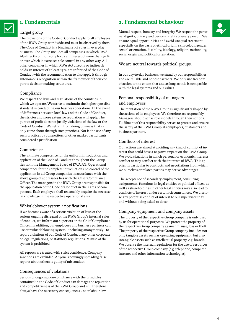## **1. Fundamentals**

#### Target group

The provisions of the Code of Conduct apply to all employees of the RWA Group worldwide and must be observed by them. The Code of Conduct is a binding set of rules in everyday business. The Group includes all companies in which RWA AG directly or indirectly holds an interest of more than 50 % or over which it exercises sole control in any other way. All other companies in which RWA AG directly or indirectly holds an interest of at least 25 % are informed of the Code of Conduct with the recommendation to also apply it through autonomous recognition within the framework of their corporate decision-making structures.

#### Compliance

We respect the laws and regulations of the countries in which we operate. We strive to maintain the highest possible standard in conducting our business operations. In the event of differences between local law and the Code of Conduct, the stricter and more extensive regulation will apply. The pursuit of profit does not justify violations of the law or the Code of Conduct. We refrain from doing business that can only come about through such practices. Nor is the use of any such practices by competitors or other market participants considered a justification.

#### Competence

The ultimate competence for the uniform introduction and application of the Code of Conduct throughout the Group lies with the Management Board of RWA AG. Operational competence for the complete introduction and control of the application in all Group companies in accordance with the above group of addressees lies with the Chief Compliance Officer. The managers in the RWA Group are responsible for the application of the Code of Conduct in their area of competence. Each employee shall reasonably acquire the necessary knowledge in the respective operational area.

#### Whistleblower system / notifications

If we become aware of a serious violation of laws or the serious ongoing disregard of the RWA Group's internal rules of conduct, we inform our superiors or the Chief Compliance Officer. In addition, our employees and business partners can use our whistleblowing system - including anonymously - to report violations of our Code of Conduct, any other corporate or legal regulations, or statutory regulations. Misuse of the system is prohibited.

All reports are treated with strict confidence. Company sanctions are excluded. Anyone knowingly spreading false reports about others is guilty of misconduct.

#### Consequences of violations

Serious or ongoing non-compliance with the principles contained in the Code of Conduct can damage the reputation and competitiveness of the RWA Group and will therefore always have the necessary consequences under labour law.

## **2. Fundamental behaviour**



Mutual respect, honesty and integrity We respect the personal dignity, privacy and personal rights of every person. We ensure equal opportunities and avoid unequal treatment, especially on the basis of ethical origin, skin colour, gender, sexual orientation, disability, ideology, religion, nationality, social origin and political orientation.

#### We are neutral towards political groups.

In our day-to-day business, we stand by our responsibilities and are reliable and honest partners. We only use freedom of action to the extent that and as long as this is compatible with the legal systems and our values.

#### Personal responsibility of managers and employees

The reputation of the RWA Group is significantly shaped by the actions of its employees. We therefore act responsibly. Managers should act as role models through their actions. Fulfilment of this responsibility serves to protect and ensure the safety of the RWA Group, its employees, customers and business partners.

#### Conflicts of interest

Our actions are aimed at avoiding any kind of conflict of interest that could have a negative impact on the RWA Group. We avoid situations in which personal or economic interests conflict or may conflict with the interests of RWA. This applies in particular to contracts and negotiations from which we ourselves or related parties may derive advantages.

The acceptance of secondary employment, consulting assignments, functions in legal entities or political offices, as well as shareholdings in other legal entities may also lead to conflicts of interest under certain circumstances. We disclose any potential conflict of interest to our supervisor in full and without being asked to do so.

#### Company equipment and company assets

The property of the respective Group company is only used by us for operational purposes. We protect the property of the respective Group company against misuse, loss or theft. The property of the respective Group company includes not only tangible assets such as operating equipment, but also intangible assets such as intellectual property, e.g. brands. We observe the internal regulations for the use of resources of the respective Group company (e.g. telephone, computer, internet and other information technologies).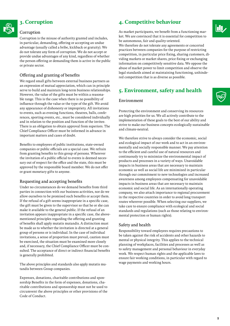## **3. Corruption**

#### Corruption

Corruption is the misuse of authority granted and includes, in particular, demanding, offering or accepting an undue advantage (usually called a bribe, kickback or gratuity). We do not tolerate any form of corruption. We do not accept or provide undue advantages of any kind, regardless of whether the person offering or demanding them is active in the public or private sector.

### Offering and granting of benefits

We regard small gifts between external business partners as an expression of mutual appreciation, which can in principle serve to build and maintain long-term business relationships. However, the value of the gifts must be within a reasonable range. This is the case when there is no possibility of influence through the value or the type of the gift. We avoid any appearance of dishonesty or impropriety. All invitations to events, such as evening functions, theatres, balls, conferences, sporting events, etc., must be considered individually and in relation to the position and function of the invitee. There is an obligation to obtain approval from superiors. The Chief Compliance Officer must be informed in advance in important matters and cases of doubt.

Benefits to employees of public institutions, state-owned companies or public officials are a special case. We refrain from granting benefits to this group of persons. Wherever the invitation of a public official to events is deemed necessary out of respect for the office and the state, this must be approved by the responsible board member. We do not offer or grant monetary gifts to anyone.

#### Requesting and accepting benefits

Under no circumstances do we demand benefits from third parties in connection with our business activities, nor do we allow ourselves to be promised such benefits or accept them. If the refusal of a gift seems inappropriate in a specific case, the gift must be given to the supervisor so that he or she can make it available to the general public. If the refusal of an invitation appears inappropriate in a specific case, the abovementioned principles regarding the offering and granting of benefits shall apply mutatis mutandis. A distinction must be made as to whether the invitation is directed at a general group of persons or is individual. In the case of individual invitations, a sense of proportion must prevail, caution must be exercised, the situation must be examined more closely and, if necessary, the Chief Compliance Officer must be consulted. The acceptance of direct or indirect financial benefits is generally prohibited.

The above principles and standards also apply mutatis mutandis between Group companies.

Expenses, donations, charitable contributions and sponsorship Benefits in the form of expenses, donations, charitable contributions and sponsorship must not be used to circumvent the above principles or other provisions of the Code of Conduct.

## **4. Competitive behaviour**

As market participants, we benefit from a functioning market. We are convinced that it is essential for competition to be autonomous, fair and quality-oriented.

We therefore do not tolerate any agreements or concerted practices between companies for the purpose of restricting competition, in particular price fixing, sharing customers, dividing markets or market shares, price fixing or exchanging information on competitively sensitive data. We oppose the abuse of market power to limit competition and observe the legal standards aimed at maintaining functioning, unhindered competition that is as diverse as possible.

## **5. Environment, safety and health**

#### Environment

Protecting the environment and conserving its resources are high priorities for us. We all actively contribute to the implementation of these goals to the best of our ability and strive to make our business concepts ecologically sustainable and climate-neutral.

We therefore strive to always consider the economic, social and ecological impact of our work and to act in an environmentally and socially responsible manner. We pay attention to the efficient and careful use of natural resources and continuously try to minimize the environmental impact of products and processes in a variety of ways. Unavoidable impacts in business areas that are necessary to maintain economic as well as social life are minimized in particular through our commitment to new technologies and increased awareness among employees compensating for unavoidable impacts in business areas that are necessary to maintain economic and social life. As an internationally operating company, we also attach importance to regional procurement in the respective countries in order to avoid long transport routes wherever possible. When selecting our suppliers, we take care to ensure compliance with ecological and social standards and regulations (such as those relating to environmental protection or human rights).

#### Safety and health

Responsibility toward employees requires precautions to be taken against the risk of accidents and other hazards to mental or physical integrity. This applies to the technical planning of workplaces, facilities and processes as well as to safety management and personal behaviour in everyday work. We respect human rights and the applicable laws to ensure fair working conditions, in particular with regard to wage payments and working hours.